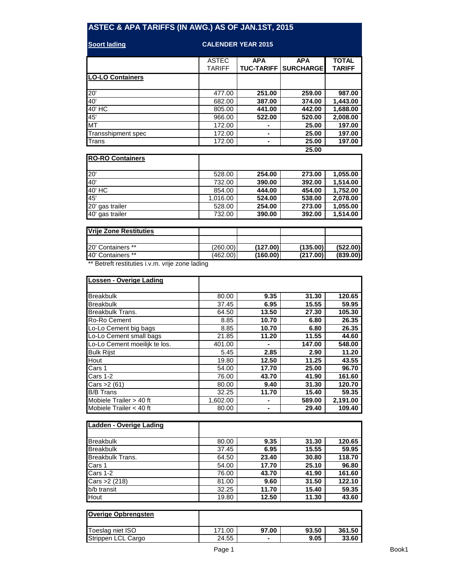## **ASTEC & APA TARIFFS (IN AWG.) AS OF JAN.1ST, 2015**

| <b>Soort lading</b>     | <b>CALENDER YEAR 2015</b> |                   |                   |               |  |
|-------------------------|---------------------------|-------------------|-------------------|---------------|--|
|                         | <b>ASTEC</b>              | <b>APA</b>        | <b>APA</b>        | <b>TOTAL</b>  |  |
|                         | <b>TARIFF</b>             | <b>TUC-TARIFF</b> | <b>SURCHARGEI</b> | <b>TARIFF</b> |  |
| <b>LO-LO Containers</b> |                           |                   |                   |               |  |
| 20'                     | 477.00                    | 251.00            | 259.00            | 987.00        |  |
| 40'                     | 682.00                    | 387.00            | 374.00            | 1,443.00      |  |
| 40' HC                  | 805.00                    | 441.00            | 442.00            | 1,688.00      |  |
| 45'                     | 966.00                    | 522.00            | 520.00            | 2,008.00      |  |
| <b>MT</b>               | 172.00                    |                   | 25.00             | 197.00        |  |
| Transshipment spec      | 172.00                    |                   | 25.00             | 197.00        |  |
| Trans                   | 172.00                    |                   | 25.00             | 197.00        |  |
|                         |                           |                   | 25.00             |               |  |

| <b>RO-RO Containers</b> |          |        |        |          |
|-------------------------|----------|--------|--------|----------|
| 20'                     | 528.00   | 254.00 | 273.00 | 1,055.00 |
| 40'                     | 732.00   | 390.00 | 392.00 | 1,514.00 |
| 40' HC                  | 854.00   | 444.00 | 454.00 | 1,752.00 |
| $\overline{45}$         | 1,016.00 | 524.00 | 538.00 | 2,078.00 |
| 20' gas trailer         | 528.00   | 254.00 | 273.00 | 1,055.00 |
| 40' gas trailer         | 732.00   | 390.00 | 392.00 | 1,514.00 |

| Vrije Zone Restituties                          |          |          |          |          |
|-------------------------------------------------|----------|----------|----------|----------|
|                                                 |          |          |          |          |
| 20' Containers **                               | (260.00) | (127.00) | (135.00) | (522.00) |
| 40' Containers **                               | (462.00) | (160.00) | (217.00) | (839.00) |
| ** Retreft restituties i.v.m. vrije zone lading |          |          |          |          |

Betreft restituties i.v.m. vrije zone lading

| Lossen - Overige Lading       |          |       |        |          |
|-------------------------------|----------|-------|--------|----------|
|                               |          |       |        |          |
| <b>Breakbulk</b>              | 80.00    | 9.35  | 31.30  | 120.65   |
| <b>Breakbulk</b>              | 37.45    | 6.95  | 15.55  | 59.95    |
| <b>Breakbulk Trans.</b>       | 64.50    | 13.50 | 27.30  | 105.30   |
| Ro-Ro Cement                  | 8.85     | 10.70 | 6.80   | 26.35    |
| Lo-Lo Cement big bags         | 8.85     | 10.70 | 6.80   | 26.35    |
| Lo-Lo Cement small bags       | 21.85    | 11.20 | 11.55  | 44.60    |
| Lo-Lo Cement moeilijk te los. | 401.00   |       | 147.00 | 548.00   |
| <b>Bulk Rijst</b>             | 5.45     | 2.85  | 2.90   | 11.20    |
| Hout                          | 19.80    | 12.50 | 11.25  | 43.55    |
| Cars 1                        | 54.00    | 17.70 | 25.00  | 96.70    |
| Cars 1-2                      | 76.00    | 43.70 | 41.90  | 161.60   |
| Cars $>2$ (61)                | 80.00    | 9.40  | 31.30  | 120.70   |
| <b>B/B Trans</b>              | 32.25    | 11.70 | 15.40  | 59.35    |
| Mobiele Trailer > 40 ft       | 1,602.00 |       | 589.00 | 2,191.00 |
| Mobiele Trailer $<$ 40 ft     | 80.00    |       | 29.40  | 109.40   |

| Ladden - Overige Lading |       |       |       |        |
|-------------------------|-------|-------|-------|--------|
|                         |       |       |       |        |
| <b>Breakbulk</b>        | 80.00 | 9.35  | 31.30 | 120.65 |
| <b>Breakbulk</b>        | 37.45 | 6.95  | 15.55 | 59.95  |
| <b>Breakbulk Trans.</b> | 64.50 | 23.40 | 30.80 | 118.70 |
| Cars 1                  | 54.00 | 17.70 | 25.10 | 96.80  |
| Cars 1-2                | 76.00 | 43.70 | 41.90 | 161.60 |
| Cars > 2 (218)          | 81.00 | 9.60  | 31.50 | 122.10 |
| b/b transit             | 32.25 | 11.70 | 15.40 | 59.35  |
| Hout                    | 19.80 | 12.50 | 11.30 | 43.60  |

| <b>Overige Opbrengsten</b> |        |                |       |        |
|----------------------------|--------|----------------|-------|--------|
| Toeslag niet ISO           | 171.00 | 97.00          | 93.50 | 361.50 |
| Strippen LCL Cargo         | 24.55  | $\blacksquare$ | 9.05  | 33.60  |